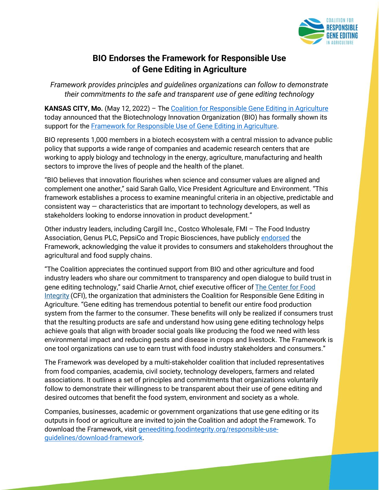

## **BIO Endorses the Framework for Responsible Use of Gene Editing in Agriculture**

*Framework provides principles and guidelines organizations can follow to demonstrate their commitments to the safe and transparent use of gene editing technology* 

**KANSAS CITY, Mo.** (May 12, 2022) – The [Coalition for Responsible Gene Editing in Agriculture](https://geneediting.foodintegrity.org/responsible-use-guidelines/endorsers/) today announced that the Biotechnology Innovation Organization (BIO) has formally shown its support for the [Framework for Responsible Use of Gene Editing in Agriculture.](https://geneediting.foodintegrity.org/responsible-use-guidelines/)

BIO represents 1,000 members in a biotech ecosystem with a central mission to advance public policy that supports a wide range of companies and academic research centers that are working to apply biology and technology in the energy, agriculture, manufacturing and health sectors to improve the lives of people and the health of the planet.

"BIO believes that innovation flourishes when science and consumer values are aligned and complement one another," said Sarah Gallo, Vice President Agriculture and Environment. "This framework establishes a process to examine meaningful criteria in an objective, predictable and consistent way — characteristics that are important to technology developers, as well as stakeholders looking to endorse innovation in product development."

Other industry leaders, including Cargill Inc., Costco Wholesale, FMI – The Food Industry Association, Genus PLC, PepsiCo and Tropic Biosciences, have publicly [endorsed](https://geneediting.foodintegrity.org/responsible-use-guidelines/endorsers/) the Framework, acknowledging the value it provides to consumers and stakeholders throughout the agricultural and food supply chains.

"The Coalition appreciates the continued support from BIO and other agriculture and food industry leaders who share our commitment to transparency and open dialogue to build trust in gene editing technology," said Charlie Arnot, chief executive officer of [The Center for Food](https://foodintegrity.org/)  [Integrity](https://foodintegrity.org/) (CFI), the organization that administers the Coalition for Responsible Gene Editing in Agriculture. "Gene editing has tremendous potential to benefit our entire food production system from the farmer to the consumer. These benefits will only be realized if consumers trust that the resulting products are safe and understand how using gene editing technology helps achieve goals that align with broader social goals like producing the food we need with less environmental impact and reducing pests and disease in crops and livestock. The Framework is one tool organizations can use to earn trust with food industry stakeholders and consumers."

The Framework was developed by a multi-stakeholder coalition that included representatives from food companies, academia, civil society, technology developers, farmers and related associations. It outlines a set of principles and commitments that organizations voluntarily follow to demonstrate their willingness to be transparent about their use of gene editing and desired outcomes that benefit the food system, environment and society as a whole.

Companies, businesses, academic or government organizations that use gene editing or its outputs in food or agriculture are invited to join the Coalition and adopt the Framework. To download the Framework, visit [geneediting.foodintegrity.org/responsible-use](https://geneediting.foodintegrity.org/responsible-use-guidelines/download-framework/)[guidelines/download-framework.](https://geneediting.foodintegrity.org/responsible-use-guidelines/download-framework/)